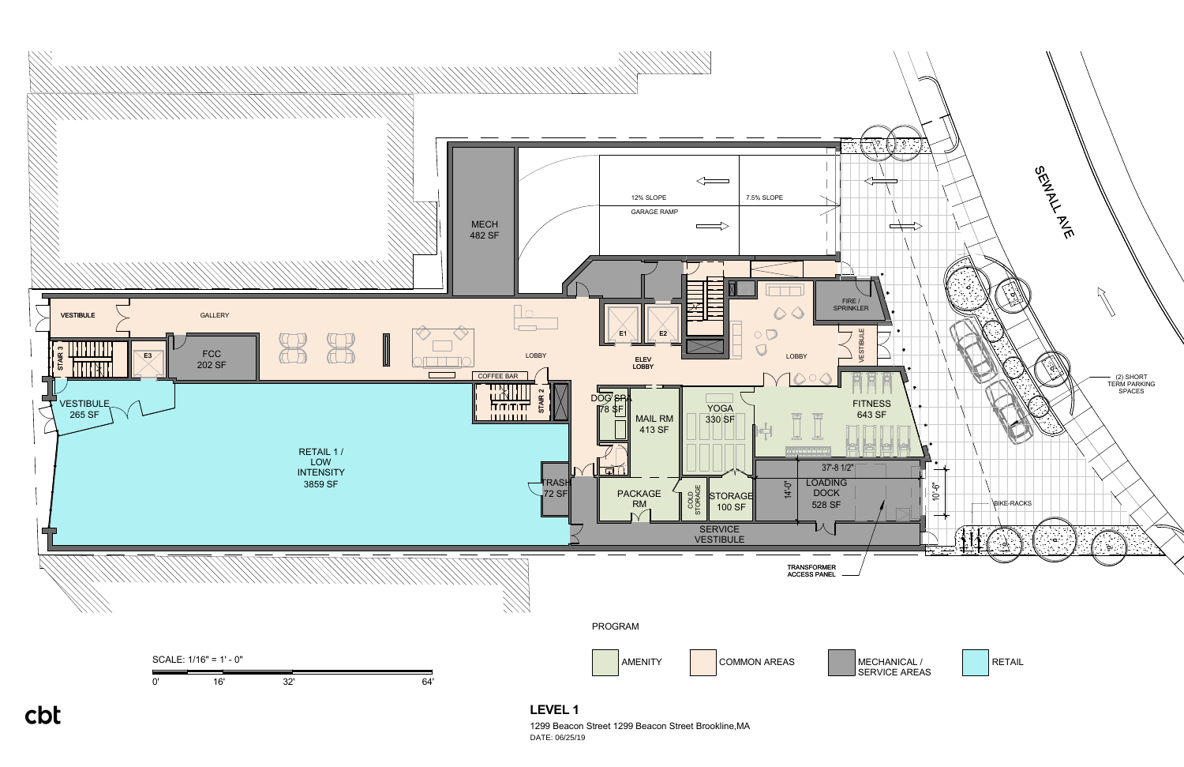

1299 Beacon Street 1299 Beacon Street Brookline,MA DATE: 06/25/19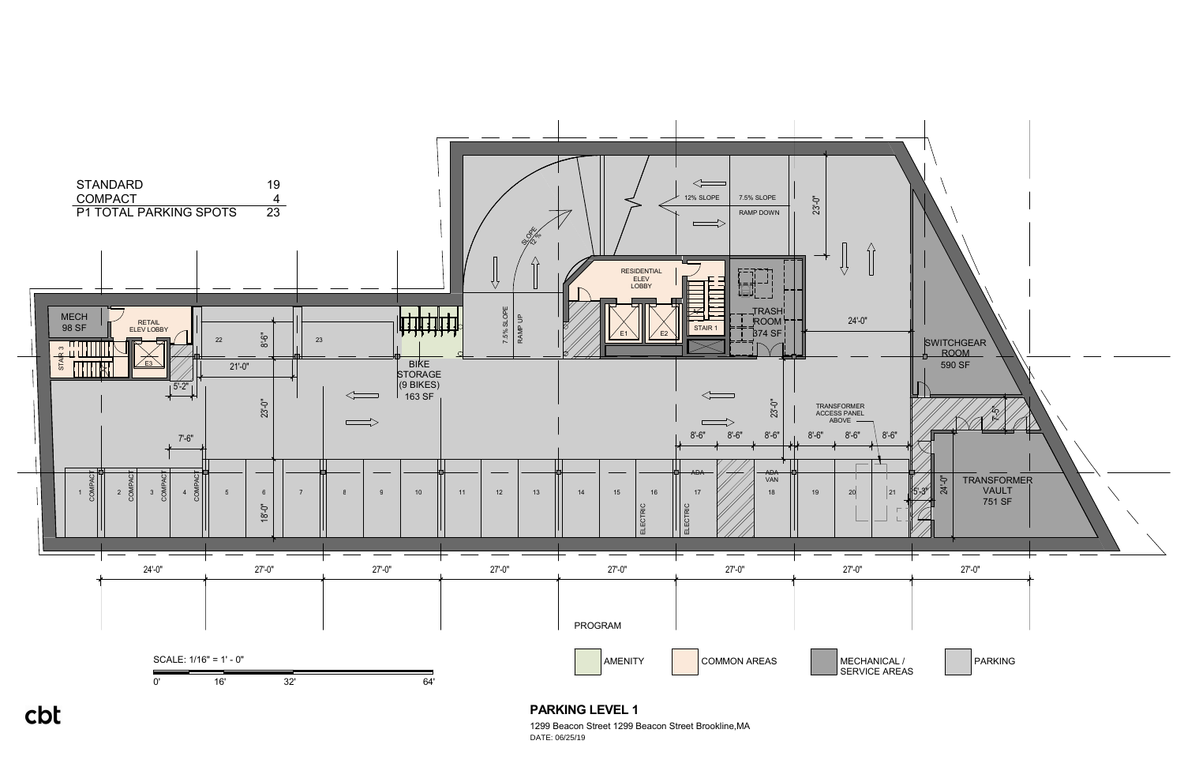

## **PARKING LEVEL 1**

1299 Beacon Street 1299 Beacon Street Brookline,MA DATE: 06/25/19